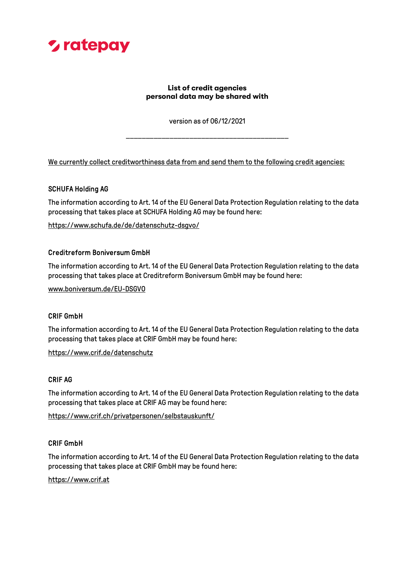

# List of credit agencies personal data may be shared with

version as of 06/12/2021

\_\_\_\_\_\_\_\_\_\_\_\_\_\_\_\_\_\_\_\_\_\_\_\_\_\_\_\_\_\_\_\_\_\_\_\_\_\_\_\_\_

We currently collect creditworthiness data from and send them to the following credit agencies:

## SCHUFA Holding AG

The information according to Art. 14 of the EU General Data Protection Regulation relating to the data processing that takes place at SCHUFA Holding AG may be found here:

https://www.schufa.de/de/datenschutz-dsgvo/

## Creditreform Boniversum GmbH

The information according to Art. 14 of the EU General Data Protection Regulation relating to the data processing that takes place at Creditreform Boniversum GmbH may be found here:

www.boniversum.de/EU-DSGVO

# CRIF GmbH

The information according to Art. 14 of the EU General Data Protection Regulation relating to the data processing that takes place at CRIF GmbH may be found here:

https://www.crif.de/datenschutz

#### CRIF AG

The information according to Art. 14 of the EU General Data Protection Regulation relating to the data processing that takes place at CRIF AG may be found here:

https://www.crif.ch/privatpersonen/selbstauskunft/

# CRIF GmbH

The information according to Art. 14 of the EU General Data Protection Regulation relating to the data processing that takes place at CRIF GmbH may be found here:

#### https://www.crif.at